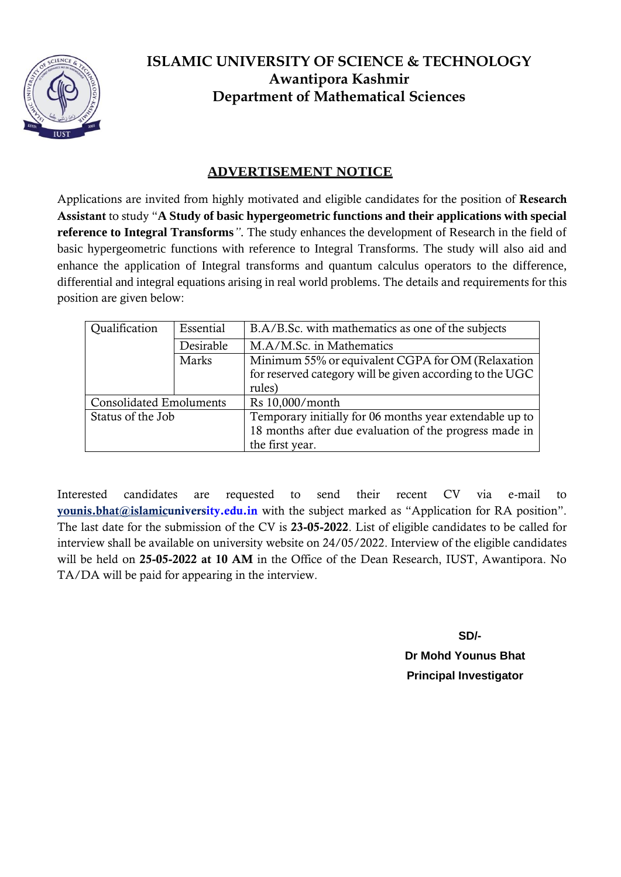

### **ADVERTISEMENT NOTICE**

Applications are invited from highly motivated and eligible candidates for the position of Research Assistant to study "**A Study of basic hypergeometric functions and their applications with special reference to Integral Transforms***".* The study enhances the development of Research in the field of basic hypergeometric functions with reference to Integral Transforms. The study will also aid and enhance the application of Integral transforms and quantum calculus operators to the difference, differential and integral equations arising in real world problems. The details and requirements for this position are given below:

| Qualification                  | Essential | B.A/B.Sc. with mathematics as one of the subjects        |  |  |
|--------------------------------|-----------|----------------------------------------------------------|--|--|
|                                | Desirable | M.A/M.Sc. in Mathematics                                 |  |  |
|                                | Marks     | Minimum 55% or equivalent CGPA for OM (Relaxation        |  |  |
|                                |           | for reserved category will be given according to the UGC |  |  |
|                                |           | rules)                                                   |  |  |
| <b>Consolidated Emoluments</b> |           | Rs 10,000/month                                          |  |  |
| Status of the Job              |           | Temporary initially for 06 months year extendable up to  |  |  |
|                                |           | 18 months after due evaluation of the progress made in   |  |  |
|                                |           | the first year.                                          |  |  |

Interested candidates are requested to send their recent CV via e-mail to [younis.bhat@islamicu](mailto:younis.bhat@islamic)niversity.edu.in with the subject marked as "Application for RA position". The last date for the submission of the CV is 23-05-2022. List of eligible candidates to be called for interview shall be available on university website on 24/05/2022. Interview of the eligible candidates will be held on 25-05-2022 at 10 AM in the Office of the Dean Research, IUST, Awantipora. No TA/DA will be paid for appearing in the interview.

> **SD/- Dr Mohd Younus Bhat Principal Investigator**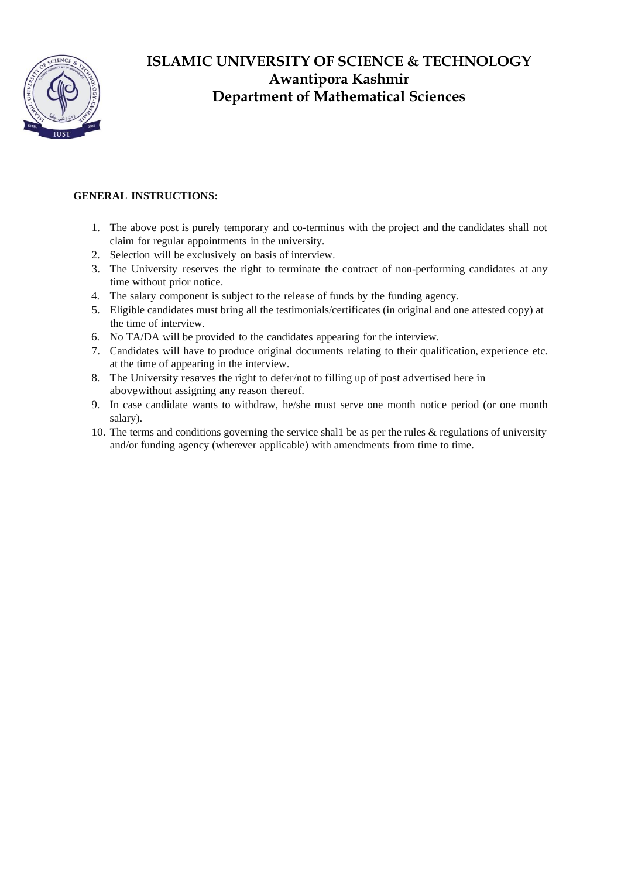

#### **GENERAL INSTRUCTIONS:**

- 1. The above post is purely temporary and co-terminus with the project and the candidates shall not claim for regular appointments in the university.
- 2. Selection will be exclusively on basis of interview.
- 3. The University reserves the right to terminate the contract of non-performing candidates at any time without prior notice.
- 4. The salary component is subject to the release of funds by the funding agency.
- 5. Eligible candidates must bring all the testimonials/certificates (in original and one attested copy) at the time of interview.
- 6. No TA/DA will be provided to the candidates appearing for the interview.
- 7. Candidates will have to produce original documents relating to their qualification, experience etc. at the time of appearing in the interview.
- 8. The University reserves the right to defer/not to filling up of post advertised here in above without assigning any reason thereof.
- 9. In case candidate wants to withdraw, he/she must serve one month notice period (or one month salary).
- 10. The terms and conditions governing the service shal1 be as per the rules & regulations of university and/or funding agency (wherever applicable) with amendments from time to time.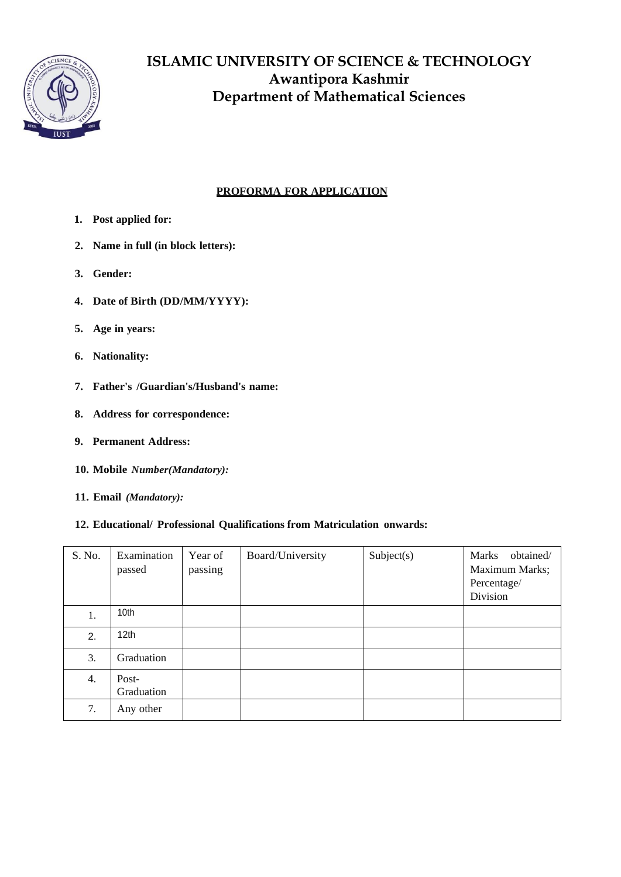

### **PROFORMA FOR APPLICATION**

- **1. Post applied for:**
- **2. Name in full (in block letters):**
- **3. Gender:**
- **4. Date of Birth (DD/MM/YYYY):**
- **5. Age in years:**
- **6. Nationality:**
- **7. Father's /Guardian's/Husband's name:**
- **8. Address for correspondence:**
- **9. Permanent Address:**
- **10. Mobile** *Number(Mandatory):*
- **11. Email** *(Mandatory):*

#### **12. Educational/ Professional Qualifications from Matriculation onwards:**

| S. No. | Examination<br>passed | Year of<br>passing | Board/University | Subject(s) | obtained/<br><b>Marks</b><br>Maximum Marks;<br>Percentage/<br>Division |
|--------|-----------------------|--------------------|------------------|------------|------------------------------------------------------------------------|
| 1.     | 10th                  |                    |                  |            |                                                                        |
| 2.     | 12 <sub>th</sub>      |                    |                  |            |                                                                        |
| 3.     | Graduation            |                    |                  |            |                                                                        |
| 4.     | Post-<br>Graduation   |                    |                  |            |                                                                        |
| 7.     | Any other             |                    |                  |            |                                                                        |